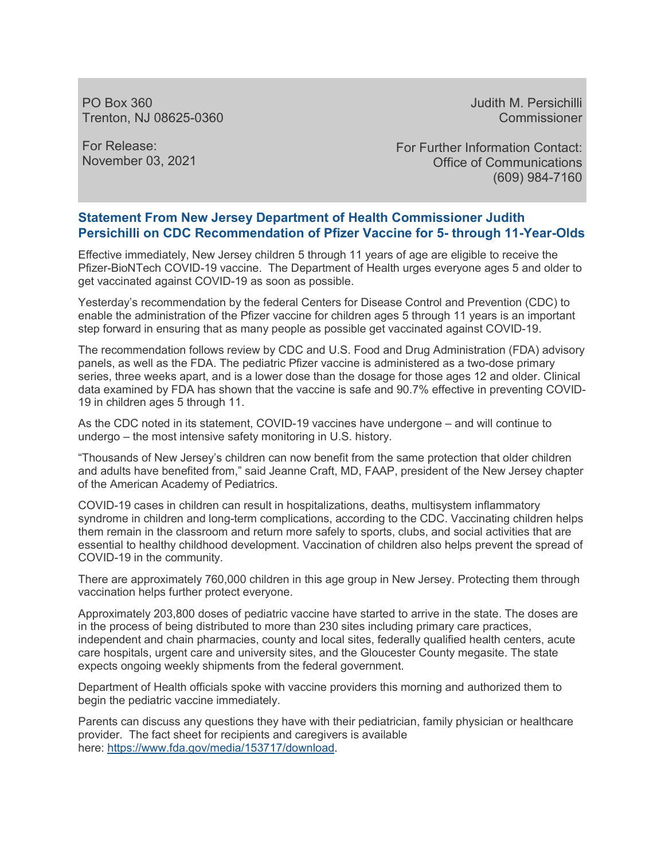PO Box 360 Trenton, NJ 08625-0360 Judith M. Persichilli **Commissioner** 

For Release: November 03, 2021 For Further Information Contact: Office of Communications (609) 984-7160

## **Statement From New Jersey Department of Health Commissioner Judith Persichilli on CDC Recommendation of Pfizer Vaccine for 5- through 11-Year-Olds**

Effective immediately, New Jersey children 5 through 11 years of age are eligible to receive the Pfizer-BioNTech COVID-19 vaccine. The Department of Health urges everyone ages 5 and older to get vaccinated against COVID-19 as soon as possible.

Yesterday's recommendation by the federal Centers for Disease Control and Prevention (CDC) to enable the administration of the Pfizer vaccine for children ages 5 through 11 years is an important step forward in ensuring that as many people as possible get vaccinated against COVID-19.

The recommendation follows review by CDC and U.S. Food and Drug Administration (FDA) advisory panels, as well as the FDA. The pediatric Pfizer vaccine is administered as a two-dose primary series, three weeks apart, and is a lower dose than the dosage for those ages 12 and older. Clinical data examined by FDA has shown that the vaccine is safe and 90.7% effective in preventing COVID-19 in children ages 5 through 11.

As the CDC noted in its statement, COVID-19 vaccines have undergone – and will continue to undergo – the most intensive safety monitoring in U.S. history.

"Thousands of New Jersey's children can now benefit from the same protection that older children and adults have benefited from," said Jeanne Craft, MD, FAAP, president of the New Jersey chapter of the American Academy of Pediatrics.

COVID-19 cases in children can result in hospitalizations, deaths, multisystem inflammatory syndrome in children and long-term complications, according to the CDC. Vaccinating children helps them remain in the classroom and return more safely to sports, clubs, and social activities that are essential to healthy childhood development. Vaccination of children also helps prevent the spread of COVID-19 in the community.

There are approximately 760,000 children in this age group in New Jersey. Protecting them through vaccination helps further protect everyone.

Approximately 203,800 doses of pediatric vaccine have started to arrive in the state. The doses are in the process of being distributed to more than 230 sites including primary care practices, independent and chain pharmacies, county and local sites, federally qualified health centers, acute care hospitals, urgent care and university sites, and the Gloucester County megasite. The state expects ongoing weekly shipments from the federal government.

Department of Health officials spoke with vaccine providers this morning and authorized them to begin the pediatric vaccine immediately.

Parents can discuss any questions they have with their pediatrician, family physician or healthcare provider. The fact sheet for recipients and caregivers is available here: [https://www.fda.gov/media/153717/download.](https://www.fda.gov/media/153717/download)